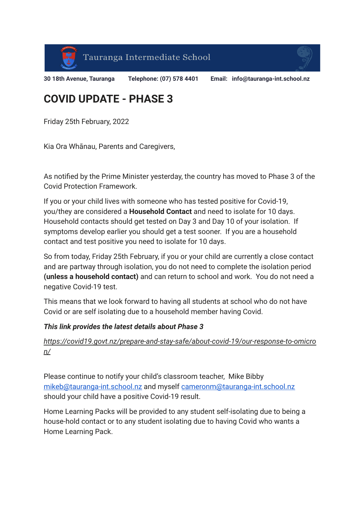



**30 18th Avenue, Tauranga Telephone: (07) 578 4401 Email: info@tauranga-int.school.nz**

## **COVID UPDATE - PHASE 3**

Friday 25th February, 2022

Kia Ora Whānau, Parents and Caregivers,

As notified by the Prime Minister yesterday, the country has moved to Phase 3 of the Covid Protection Framework.

If you or your child lives with someone who has tested positive for Covid-19, you/they are considered a **Household Contact** and need to isolate for 10 days. Household contacts should get tested on Day 3 and Day 10 of your isolation. If symptoms develop earlier you should get a test sooner. If you are a household contact and test positive you need to isolate for 10 days.

So from today, Friday 25th February, if you or your child are currently a close contact and are partway through isolation, you do not need to complete the isolation period **(unless a household contact)** and can return to school and work. You do not need a negative Covid-19 test.

This means that we look forward to having all students at school who do not have Covid or are self isolating due to a household member having Covid.

## *This link provides the latest details about Phase 3*

*[https://covid19.govt.nz/prepare-and-stay-safe/about-covid-19/our-response-to-omicro](https://school.us15.list-manage.com/track/click?u=38ba3068f2c84f06a337989ca&id=367ba6af92&e=d4ec285206) [n/](https://school.us15.list-manage.com/track/click?u=38ba3068f2c84f06a337989ca&id=367ba6af92&e=d4ec285206)*

Please continue to notify your child's classroom teacher, Mike Bibby [mikeb@tauranga-int.school.nz](mailto:mikeb@tauranga-int.school.nz) and myself [cameronm@tauranga-int.school.nz](mailto:cameronm@tauranga-int.school.nz) should your child have a positive Covid-19 result.

Home Learning Packs will be provided to any student self-isolating due to being a house-hold contact or to any student isolating due to having Covid who wants a Home Learning Pack.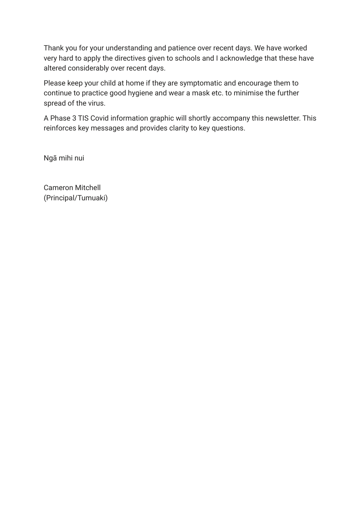Thank you for your understanding and patience over recent days. We have worked very hard to apply the directives given to schools and I acknowledge that these have altered considerably over recent days.

Please keep your child at home if they are symptomatic and encourage them to continue to practice good hygiene and wear a mask etc. to minimise the further spread of the virus.

A Phase 3 TIS Covid information graphic will shortly accompany this newsletter. This reinforces key messages and provides clarity to key questions.

Ngā mihi nui

Cameron Mitchell (Principal/Tumuaki)